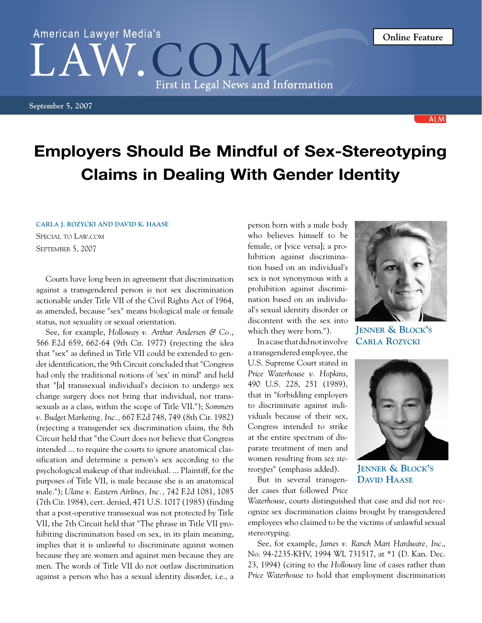## Employers Should Be Mindful of Sex-Stereotyping Claims in Dealing With Gender Identity

## **Carla J. Rozycki and David K. Haase**

Special to Law.com September 5, 2007

Courts have long been in agreement that discrimination against a transgendered person is not sex discrimination actionable under Title VII of the Civil Rights Act of 1964, as amended, because "sex" means biological male or female status, not sexuality or sexual orientation.

See, for example, *Holloway v. Arthur Andersen & Co.*, 566 F.2d 659, 662-64 (9th Cir. 1977) (rejecting the idea that "sex" as defined in Title VII could be extended to gender identification, the 9th Circuit concluded that "Congress had only the traditional notions of 'sex' in mind" and held that "[a] transsexual individual's decision to undergo sex change surgery does not bring that individual, nor transsexuals as a class, within the scope of Title VII."); *Sommers v. Budget Marketing, Inc.,* 667 F.2d 748, 749 (8th Cir. 1982) (rejecting a transgender sex discrimination claim, the 8th Circuit held that "the Court does not believe that Congress intended ... to require the courts to ignore anatomical classification and determine a person's sex according to the psychological makeup of that individual. ... Plaintiff, for the purposes of Title VII, is male because she is an anatomical male."); *Ulane v. Eastern Airlines, Inc.,* 742 F.2d 1081, 1085 (7th Cir. 1984), cert. denied, 471 U.S. 1017 (1985) (finding that a post-operative transsexual was not protected by Title VII, the 7th Circuit held that "The phrase in Title VII prohibiting discrimination based on sex, in its plain meaning, implies that it is unlawful to discriminate against women because they are women and against men because they are men. The words of Title VII do not outlaw discrimination against a person who has a sexual identity disorder, i.e., a person born with a male body who believes himself to be female, or [vice versa]; a prohibition against discrimination based on an individual's sex is not synonymous with a prohibition against discrimination based on an individual's sexual identity disorder or discontent with the sex into which they were born.").

In a case that did not involve a transgendered employee, the U.S. Supreme Court stated in *Price Waterhouse v. Hopkins*, 490 U.S. 228, 251 (1989), that in "forbidding employers to discriminate against individuals because of their sex, Congress intended to strike at the entire spectrum of disparate treatment of men and women resulting from *sex stereotypes*" (emphasis added).

But in several transgender cases that followed *Price* 

*Waterhouse*, courts distinguished that case and did not recognize sex discrimination claims brought by transgendered employees who claimed to be the victims of unlawful sexual stereotyping.

See, for example, *James v. Ranch Mart Hardware, Inc*., No. 94-2235-KHV, 1994 WL 731517, at \*1 (D. Kan. Dec. 23, 1994) (citing to the *Holloway* line of cases rather than *Price Waterhouse* to hold that employment discrimination

**Jenner & Block's David Haase**

**Jenner & Block's Carla Rozycki**



## American Lawyer Media's First in Legal News and Information

**September 5, 2007**